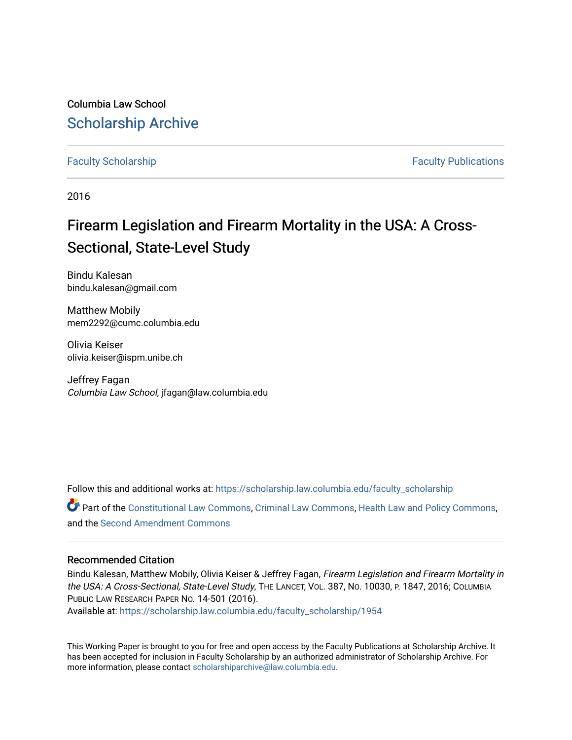Columbia Law School [Scholarship Archive](https://scholarship.law.columbia.edu/) 

# [Faculty Scholarship](https://scholarship.law.columbia.edu/faculty_scholarship) **Faculty Scholarship Faculty Publications**

2016

# Firearm Legislation and Firearm Mortality in the USA: A Cross-Sectional, State-Level Study

Bindu Kalesan bindu.kalesan@gmail.com

Matthew Mobily mem2292@cumc.columbia.edu

Olivia Keiser olivia.keiser@ispm.unibe.ch

Jeffrey Fagan Columbia Law School, jfagan@law.columbia.edu

Follow this and additional works at: [https://scholarship.law.columbia.edu/faculty\\_scholarship](https://scholarship.law.columbia.edu/faculty_scholarship?utm_source=scholarship.law.columbia.edu%2Ffaculty_scholarship%2F1954&utm_medium=PDF&utm_campaign=PDFCoverPages)

Part of the [Constitutional Law Commons,](http://network.bepress.com/hgg/discipline/589?utm_source=scholarship.law.columbia.edu%2Ffaculty_scholarship%2F1954&utm_medium=PDF&utm_campaign=PDFCoverPages) [Criminal Law Commons,](http://network.bepress.com/hgg/discipline/912?utm_source=scholarship.law.columbia.edu%2Ffaculty_scholarship%2F1954&utm_medium=PDF&utm_campaign=PDFCoverPages) [Health Law and Policy Commons,](http://network.bepress.com/hgg/discipline/901?utm_source=scholarship.law.columbia.edu%2Ffaculty_scholarship%2F1954&utm_medium=PDF&utm_campaign=PDFCoverPages) and the [Second Amendment Commons](http://network.bepress.com/hgg/discipline/1119?utm_source=scholarship.law.columbia.edu%2Ffaculty_scholarship%2F1954&utm_medium=PDF&utm_campaign=PDFCoverPages) 

# Recommended Citation

Bindu Kalesan, Matthew Mobily, Olivia Keiser & Jeffrey Fagan, Firearm Legislation and Firearm Mortality in the USA: A Cross-Sectional, State-Level Study, The LANCET, VOL. 387, No. 10030, P. 1847, 2016; COLUMBIA PUBLIC LAW RESEARCH PAPER NO. 14-501 (2016).

Available at: [https://scholarship.law.columbia.edu/faculty\\_scholarship/1954](https://scholarship.law.columbia.edu/faculty_scholarship/1954?utm_source=scholarship.law.columbia.edu%2Ffaculty_scholarship%2F1954&utm_medium=PDF&utm_campaign=PDFCoverPages)

This Working Paper is brought to you for free and open access by the Faculty Publications at Scholarship Archive. It has been accepted for inclusion in Faculty Scholarship by an authorized administrator of Scholarship Archive. For more information, please contact [scholarshiparchive@law.columbia.edu.](mailto:scholarshiparchive@law.columbia.edu)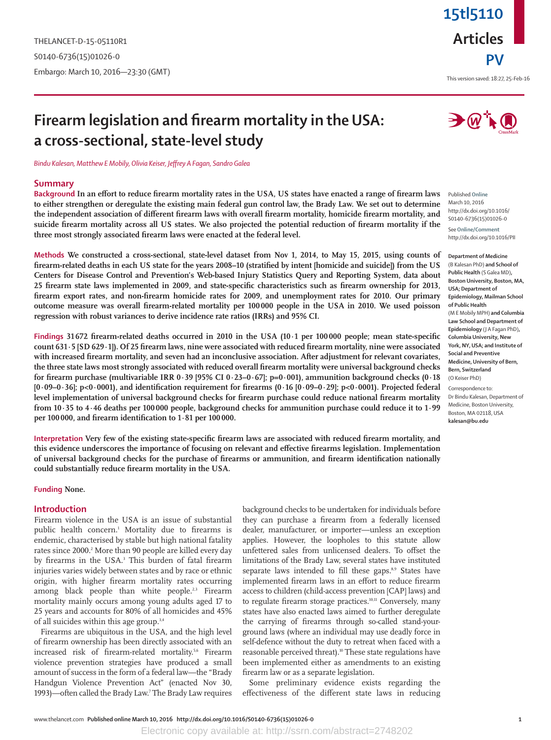

This version saved: 18:27, 25-Feb-16

# **Firearm legislation and firearm mortality in the USA: a cross-sectional, state-level study**

*Bindu Kalesan, Matthew E Mobily, Olivia Keiser, Jeffrey A Fagan, Sandro Galea*

#### **Summary**

**Background In an effort to reduce firearm mortality rates in the USA, US states have enacted a range of firearm laws to either strengthen or deregulate the existing main federal gun control law, the Brady Law. We set out to determine the independent association of different firearm laws with overall firearm mortality, homicide firearm mortality, and suicide firearm mortality across all US states. We also projected the potential reduction of firearm mortality if the three most strongly associated firearm laws were enacted at the federal level.**

**Methods We constructed a cross-sectional, state-level dataset from Nov 1, 2014, to May 15, 2015, using counts of firearm-related deaths in each US state for the years 2008–10 (stratified by intent [homicide and suicide]) from the US Centers for Disease Control and Prevention's Web-based Injury Statistics Query and Reporting System, data about 25 firearm state laws implemented in 2009, and state-specific characteristics such as firearm ownership for 2013, firearm export rates, and non-firearm homicide rates for 2009, and unemployment rates for 2010. Our primary outcome measure was overall firearm-related mortality per 100000 people in the USA in 2010. We used poisson regression with robust variances to derive incidence rate ratios (IRRs) and 95% CI.**

**Findings 31672 firearm-related deaths occurred in 2010 in the USA (10·1 per 100000 people; mean state-specific count 631·5 [SD 629·1]). Of 25 firearm laws, nine were associated with reduced firearm mortality, nine were associated with increased firearm mortality, and seven had an inconclusive association. After adjustment for relevant covariates, the three state laws most strongly associated with reduced overall firearm mortality were universal background checks for firearm purchase (multivariable IRR 0·39 [95% CI 0·23–0·67]; p=0·001), ammunition background checks (0·18 [0·09–0·36]; p<0·0001), and identification requirement for firearms (0·16 [0·09–0·29]; p<0·0001). Projected federal level implementation of universal background checks for firearm purchase could reduce national firearm mortality from 10·35 to 4·46 deaths per 100000 people, background checks for ammunition purchase could reduce it to 1·99 per 100000, and firearm identification to 1·81 per 100000.**

**Interpretation Very few of the existing state-specific firearm laws are associated with reduced firearm mortality, and this evidence underscores the importance of focusing on relevant and effective firearms legislation. Implementation of universal background checks for the purchase of firearms or ammunition, and firearm identification nationally could substantially reduce firearm mortality in the USA.** 

#### **Funding None.**

#### **Introduction**

Firearm violence in the USA is an issue of substantial public health concern.1 Mortality due to firearms is endemic, characterised by stable but high national fatality rates since 2000.<sup>2</sup> More than 90 people are killed every day by firearms in the USA.<sup>3</sup> This burden of fatal firearm injuries varies widely between states and by race or ethnic origin, with higher firearm mortality rates occurring among black people than white people.<sup>2,3</sup> Firearm mortality mainly occurs among young adults aged 17 to 25 years and accounts for 80% of all homicides and 45% of all suicides within this age group.3,4

Firearms are ubiquitous in the USA, and the high level of firearm ownership has been directly associated with an increased risk of firearm-related mortality.<sup>5,6</sup> Firearm violence prevention strategies have produced a small amount of success in the form of a federal law—the "Brady Handgun Violence Prevention Act" (enacted Nov 30, 1993)—often called the Brady Law.7 The Brady Law requires background checks to be undertaken for individuals before they can purchase a firearm from a federally licensed dealer, manufacturer, or importer—unless an exception applies. However, the loopholes to this statute allow unfettered sales from unlicensed dealers. To offset the limitations of the Brady Law, several states have instituted separate laws intended to fill these gaps.<sup>8,9</sup> States have implemented firearm laws in an effort to reduce firearm access to children (child-access prevention [CAP] laws) and to regulate firearm storage practices.<sup>10,11</sup> Conversely, many states have also enacted laws aimed to further deregulate the carrying of firearms through so-called stand-yourground laws (where an individual may use deadly force in self-defence without the duty to retreat when faced with a reasonable perceived threat).10 These state regulations have been implemented either as amendments to an existing firearm law or as a separate legislation.

Some preliminary evidence exists regarding the effectiveness of the different state laws in reducing



Published **Online** March 10, 2016 http://dx.doi.org/10.1016/ S0140-6736(15)01026-0 See**Online/Comment**

http://dx.doi.org/10.1016/PII

**Department of Medicine**  (B Kalesan PhD) **and School of Public Health** (S Galea MD)**, Boston University, Boston, MA, USA; Department of Epidemiology, Mailman School of Public Health**  (M E Mobily MPH) **and Columbia Law School and Department of Epidemiology** (J A Fagan PhD)**, Columbia University, New York, NY, USA; and Institute of Social and Preventive Medicine, University of Bern, Bern, Switzerland** (O Keiser PhD)

Correspondence to: Dr Bindu Kalesan, Department of Medicine, Boston University, Boston, MA 02118, USA **kalesan@bu.edu**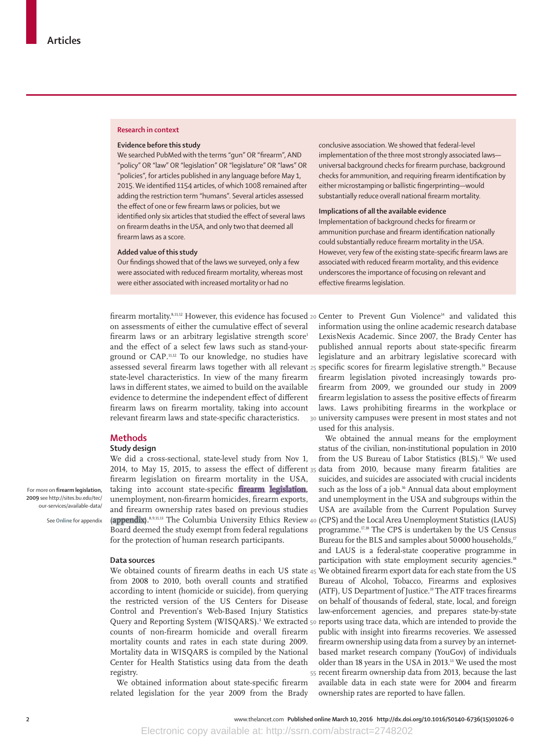#### **Research in context**

#### **Evidence before this study**

We searched PubMed with the terms "gun" OR "firearm", AND "policy" OR "law" OR "legislation" OR "legislature" OR "laws" OR "policies", for articles published in any language before May 1, 2015. We identified 1154 articles, of which 1008 remained after adding the restriction term "humans". Several articles assessed the effect of one or few firearm laws or policies, but we identified only six articles that studied the effect of several laws on firearm deaths in the USA, and only two that deemed all firearm laws as a score.

### **Added value of this study**

Our findings showed that of the laws we surveyed, only a few were associated with reduced firearm mortality, whereas most were either associated with increased mortality or had no

on assessments of either the cumulative effect of several firearm laws or an arbitrary legislative strength score<sup>1</sup> and the effect of a select few laws such as stand-yourground or CAP.11,12 To our knowledge, no studies have state-level characteristics. In view of the many firearm laws in different states, we aimed to build on the available evidence to determine the independent effect of different firearm laws on firearm mortality, taking into account relevant firearm laws and state-specific characteristics.

## **Methods**

#### **Study design**

We did a cross-sectional, state-level study from Nov 1, firearm legislation on firearm mortality in the USA, taking into account state-specific firearm legislation, unemployment, non-firearm homicides, firearm exports, and firearm ownership rates based on previous studies Board deemed the study exempt from federal regulations for the protection of human research participants.

#### **Data sources**

from 2008 to 2010, both overall counts and stratified according to intent (homicide or suicide), from querying the restricted version of the US Centers for Disease Control and Prevention's Web-Based Injury Statistics counts of non-firearm homicide and overall firearm mortality counts and rates in each state during 2009. Mortality data in WISQARS is compiled by the National Center for Health Statistics using data from the death registry.

We obtained information about state-specific firearm related legislation for the year 2009 from the Brady conclusive association. We showed that federal-level implementation of the three most strongly associated laws universal background checks for firearm purchase, background checks for ammunition, and requiring firearm identification by either microstamping or ballistic fingerprinting—would substantially reduce overall national firearm mortality.

#### **Implications of all the available evidence**

Implementation of background checks for firearm or ammunition purchase and firearm identification nationally could substantially reduce firearm mortality in the USA. However, very few of the existing state-specific firearm laws are associated with reduced firearm mortality, and this evidence underscores the importance of focusing on relevant and effective firearms legislation.

firearm mortality.<sup>8,11,12</sup> However, this evidence has focused 20 Center to Prevent Gun Violence<sup>14</sup> and validated this assessed several firearm laws together with all relevant 25 specific scores for firearm legislative strength.<sup>14</sup> Because **30** university campuses were present in most states and not information using the online academic research database LexisNexis Academic. Since 2007, the Brady Center has published annual reports about state-specific firearm legislature and an arbitrary legislative scorecard with firearm legislation pivoted increasingly towards profirearm from 2009, we grounded our study in 2009 firearm legislation to assess the positive effects of firearm laws. Laws prohibiting firearms in the workplace or used for this analysis.

2014, to May 15, 2015, to assess the effect of different 35 data from 2010, because many firearm fatalities are (appendix).<sup>8,9,11,13</sup> The Columbia University Ethics Review 40 (CPS) and the Local Area Unemployment Statistics (LAUS) We obtained counts of firearm deaths in each US state 45 We obtained firearm export data for each state from the US Query and Reporting System (WISQARS).<sup>3</sup> We extracted 50 reports using trace data, which are intended to provide the **55** recent firearm ownership data from 2013, because the last We obtained the annual means for the employment status of the civilian, non-institutional population in 2010 from the US Bureau of Labor Statistics (BLS).<sup>15</sup> We used suicides, and suicides are associated with crucial incidents such as the loss of a job.<sup>16</sup> Annual data about employment and unemployment in the USA and subgroups within the USA are available from the Current Population Survey programme.17,18 The CPS is undertaken by the US Census Bureau for the BLS and samples about 50000 households,<sup>17</sup> and LAUS is a federal-state cooperative programme in participation with state employment security agencies.<sup>18</sup> Bureau of Alcohol, Tobacco, Firearms and explosives (ATF), US Department of Justice.<sup>19</sup> The ATF traces firearms on behalf of thousands of federal, state, local, and foreign law-enforcement agencies, and prepares state-by-state public with insight into firearms recoveries. We assessed firearm ownership using data from a survey by an internetbased market research company (YouGov) of individuals older than 18 years in the USA in 2013.13 We used the most available data in each state were for 2004 and firearm ownership rates are reported to have fallen.

For more on **firearm legislation, 2009** see http://sites.bu.edu/tec/ our-services/available-data/

See **Online** for appendix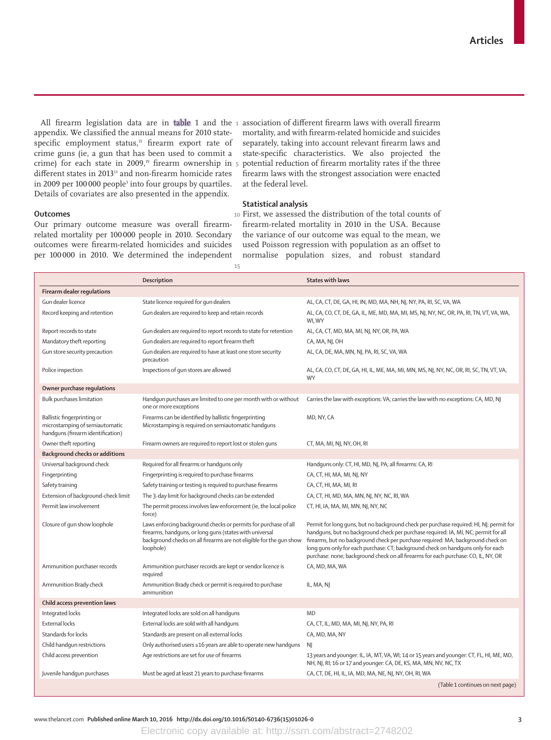appendix. We classified the annual means for 2010 statespecific employment status,<sup>15</sup> firearm export rate of crime guns (ie, a gun that has been used to commit a crime) for each state in 2009,<sup>19</sup> firearm ownership in different states in 2013<sup>13</sup> and non-firearm homicide rates in 2009 per 100 000 people<sup>3</sup> into four groups by quartiles. Details of covariates are also presented in the appendix.

## **Outcomes**

Our primary outcome measure was overall firearmrelated mortality per 100 000 people in 2010. Secondary outcomes were firearm-related homicides and suicides per 100 000 in 2010. We determined the independent

**1** All firearm legislation data are in table 1 and the association of different firearm laws with overall firearm mortality, and with firearm-related homicide and suicides separately, taking into account relevant firearm laws and state-specific characteristics. We also projected the potential reduction of firearm mortality rates if the three firearm laws with the strongest association were enacted at the federal level.

## **Statistical analysis**

**5**

**10** First, we assessed the distribution of the total counts of firearm-related mortality in 2010 in the USA. Because the variance of our outcome was equal to the mean, we used Poisson regression with population as an offset to normalise population sizes, and robust standard

|                                                                                                    | 15                                                                                                                                                                                                             |                                                                                                                                                                                                                                                                                                                                                                                                                                              |
|----------------------------------------------------------------------------------------------------|----------------------------------------------------------------------------------------------------------------------------------------------------------------------------------------------------------------|----------------------------------------------------------------------------------------------------------------------------------------------------------------------------------------------------------------------------------------------------------------------------------------------------------------------------------------------------------------------------------------------------------------------------------------------|
|                                                                                                    | Description                                                                                                                                                                                                    | <b>States with laws</b>                                                                                                                                                                                                                                                                                                                                                                                                                      |
| Firearm dealer regulations                                                                         |                                                                                                                                                                                                                |                                                                                                                                                                                                                                                                                                                                                                                                                                              |
| Gun dealer licence                                                                                 | State licence required for gun dealers                                                                                                                                                                         | AL, CA, CT, DE, GA, HI, IN, MD, MA, NH, NJ, NY, PA, RI, SC, VA, WA                                                                                                                                                                                                                                                                                                                                                                           |
| Record keeping and retention                                                                       | Gun dealers are required to keep and retain records                                                                                                                                                            | AL, CA, CO, CT, DE, GA, IL, ME, MD, MA, MI, MS, NJ, NY, NC, OR, PA, RI, TN, VT, VA, WA,<br>WI, WY                                                                                                                                                                                                                                                                                                                                            |
| Report records to state                                                                            | Gun dealers are required to report records to state for retention                                                                                                                                              | AL, CA, CT, MD, MA, MI, NJ, NY, OR, PA, WA                                                                                                                                                                                                                                                                                                                                                                                                   |
| Mandatory theft reporting                                                                          | Gun dealers are required to report firearm theft                                                                                                                                                               | CA, MA, NJ, OH                                                                                                                                                                                                                                                                                                                                                                                                                               |
| Gun store security precaution                                                                      | Gun dealers are required to have at least one store security<br>precaution                                                                                                                                     | AL, CA, DE, MA, MN, NJ, PA, RI, SC, VA, WA                                                                                                                                                                                                                                                                                                                                                                                                   |
| Police inspection                                                                                  | Inspections of gun stores are allowed                                                                                                                                                                          | AL, CA, CO, CT, DE, GA, HI, IL, ME, MA, MI, MN, MS, NJ, NY, NC, OR, RI, SC, TN, VT, VA,<br><b>WY</b>                                                                                                                                                                                                                                                                                                                                         |
| Owner purchase regulations                                                                         |                                                                                                                                                                                                                |                                                                                                                                                                                                                                                                                                                                                                                                                                              |
| Bulk purchases limitation                                                                          | Handqun purchases are limited to one per month with or without<br>one or more exceptions                                                                                                                       | Carries the law with exceptions: VA; carries the law with no exceptions: CA, MD, NJ                                                                                                                                                                                                                                                                                                                                                          |
| Ballistic fingerprinting or<br>microstamping of semiautomatic<br>handquns (firearm identification) | Firearms can be identified by ballistic fingerprinting<br>Microstamping is required on semiautomatic handquns                                                                                                  | MD, NY, CA                                                                                                                                                                                                                                                                                                                                                                                                                                   |
| Owner theft reporting                                                                              | Firearm owners are required to report lost or stolen quns                                                                                                                                                      | CT, MA, MI, NJ, NY, OH, RI                                                                                                                                                                                                                                                                                                                                                                                                                   |
| <b>Background checks or additions</b>                                                              |                                                                                                                                                                                                                |                                                                                                                                                                                                                                                                                                                                                                                                                                              |
| Universal background check                                                                         | Required for all firearms or handguns only                                                                                                                                                                     | Handquns only: CT, HI, MD, NJ, PA; all firearms: CA, RI                                                                                                                                                                                                                                                                                                                                                                                      |
| Fingerprinting                                                                                     | Fingerprinting is required to purchase firearms                                                                                                                                                                | CA, CT, HI, MA, MI, NJ, NY                                                                                                                                                                                                                                                                                                                                                                                                                   |
| Safety training                                                                                    | Safety training or testing is required to purchase firearms                                                                                                                                                    | CA, CT, HI, MA, MI, RI                                                                                                                                                                                                                                                                                                                                                                                                                       |
| Extension of background-check limit                                                                | The 3-day limit for background checks can be extended                                                                                                                                                          | CA, CT, HI, MD, MA, MN, NJ, NY, NC, RI, WA                                                                                                                                                                                                                                                                                                                                                                                                   |
| Permit law involvement                                                                             | The permit process involves law enforcement (ie, the local police<br>force)                                                                                                                                    | CT, HI, IA, MA, MI, MN, NJ, NY, NC                                                                                                                                                                                                                                                                                                                                                                                                           |
| Closure of gun show loophole                                                                       | Laws enforcing background checks or permits for purchase of all<br>firearms, handguns, or long guns (states with universal<br>background checks on all firearms are not eligible for the gun show<br>loophole) | Permit for long guns, but no background check per purchase required: HI, NJ; permit for<br>handquns, but no background check per purchase required: IA, MI, NC; permit for all<br>firearms, but no background check per purchase required: MA; background check on<br>long guns only for each purchase: CT; background check on handguns only for each<br>purchase: none; background check on all firearms for each purchase: CO, IL, NY, OR |
| Ammunition purchaser records                                                                       | Ammunition purchaser records are kept or vendor licence is<br>required                                                                                                                                         | CA, MD, MA, WA                                                                                                                                                                                                                                                                                                                                                                                                                               |
| Ammunition Brady check                                                                             | Ammunition Brady check or permit is required to purchase<br>ammunition                                                                                                                                         | IL, MA, NJ                                                                                                                                                                                                                                                                                                                                                                                                                                   |
| Child access prevention laws                                                                       |                                                                                                                                                                                                                |                                                                                                                                                                                                                                                                                                                                                                                                                                              |
| Integrated locks                                                                                   | Integrated locks are sold on all handguns                                                                                                                                                                      | <b>MD</b>                                                                                                                                                                                                                                                                                                                                                                                                                                    |
| <b>External locks</b>                                                                              | External locks are sold with all handquns                                                                                                                                                                      | CA, CT, IL, MD, MA, MI, NJ, NY, PA, RI                                                                                                                                                                                                                                                                                                                                                                                                       |
| Standards for locks                                                                                | Standards are present on all external locks                                                                                                                                                                    | CA, MD, MA, NY                                                                                                                                                                                                                                                                                                                                                                                                                               |
| Child handqun restrictions                                                                         | Only authorised users ≥16 years are able to operate new handguns                                                                                                                                               | NJ                                                                                                                                                                                                                                                                                                                                                                                                                                           |
| Child access prevention                                                                            | Age restrictions are set for use of firearms                                                                                                                                                                   | 13 years and younger: IL, IA, MT, VA, WI; 14 or 15 years and younger: CT, FL, HI, ME, MD,<br>NH, NJ, RI; 16 or 17 and younger: CA, DE, KS, MA, MN, NV, NC, TX                                                                                                                                                                                                                                                                                |
| Juvenile handqun purchases                                                                         | Must be aged at least 21 years to purchase firearms                                                                                                                                                            | CA, CT, DE, HI, IL, IA, MD, MA, NE, NJ, NY, OH, RI, WA                                                                                                                                                                                                                                                                                                                                                                                       |
|                                                                                                    |                                                                                                                                                                                                                | (Table 1 continues on next page)                                                                                                                                                                                                                                                                                                                                                                                                             |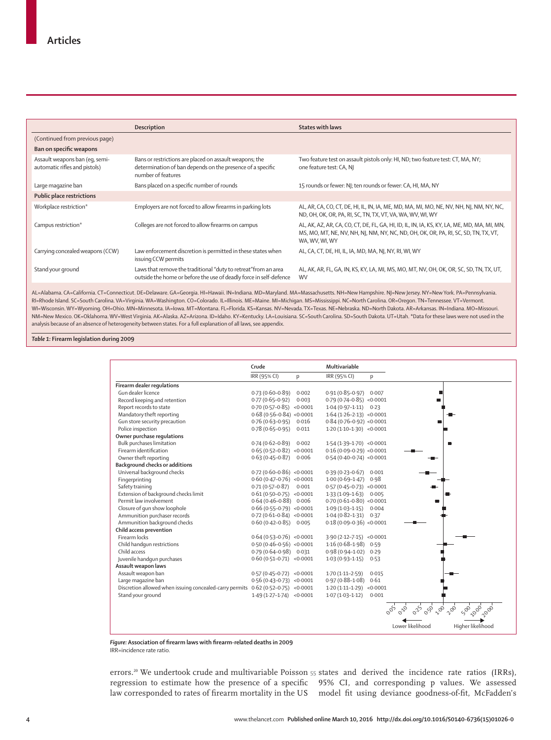|                                                                 | Description                                                                                                                                 | <b>States with laws</b>                                                                                                                                                                              |
|-----------------------------------------------------------------|---------------------------------------------------------------------------------------------------------------------------------------------|------------------------------------------------------------------------------------------------------------------------------------------------------------------------------------------------------|
| (Continued from previous page)                                  |                                                                                                                                             |                                                                                                                                                                                                      |
| Ban on specific weapons                                         |                                                                                                                                             |                                                                                                                                                                                                      |
| Assault weapons ban (eq, semi-<br>automatic rifles and pistols) | Bans or restrictions are placed on assault weapons; the<br>determination of ban depends on the presence of a specific<br>number of features | Two feature test on assault pistols only: HI, ND; two feature test: CT, MA, NY;<br>one feature test: CA, NJ                                                                                          |
| Large magazine ban                                              | Bans placed on a specific number of rounds                                                                                                  | 15 rounds or fewer: NJ; ten rounds or fewer: CA, HI, MA, NY                                                                                                                                          |
| Public place restrictions                                       |                                                                                                                                             |                                                                                                                                                                                                      |
| Workplace restriction*                                          | Employers are not forced to allow firearms in parking lots                                                                                  | AL, AR, CA, CO, CT, DE, HI, IL, IN, IA, ME, MD, MA, MI, MO, NE, NV, NH, NJ, NM, NY, NC,<br>ND, OH, OK, OR, PA, RI, SC, TN, TX, VT, VA, WA, WV, WI, WY                                                |
| Campus restriction*                                             | Colleges are not forced to allow firearms on campus                                                                                         | AL, AK, AZ, AR, CA, CO, CT, DE, FL, GA, HI, ID, IL, IN, IA, KS, KY, LA, ME, MD, MA, MI, MN,<br>MS, MO, MT, NE, NV, NH, NJ, NM, NY, NC, ND, OH, OK, OR, PA, RI, SC, SD, TN, TX, VT,<br>WA, WV, WI, WY |
| Carrying concealed weapons (CCW)                                | Law enforcement discretion is permitted in these states when<br>issuing CCW permits                                                         | AL, CA, CT, DE, HI, IL, IA, MD, MA, NJ, NY, RI, WI, WY                                                                                                                                               |
| Stand your ground                                               | Laws that remove the traditional "duty to retreat" from an area<br>outside the home or before the use of deadly force in self-defence       | AL, AK, AR, FL, GA, IN, KS, KY, LA, MI, MS, MO, MT, NV, OH, OK, OR, SC, SD, TN, TX, UT,<br>WV                                                                                                        |

**20** NM=New Mexico. OK=Oklahoma. WV=West Virginia. AK=Alaska. AZ=Arizona. ID=Idaho. KY=Kentucky. LA=Louisiana. SC=South Carolina. SD=South Dakota. UT=Utah. **\***Data for these laws were not used in the AL=Alabama. CA=California. CT=Connecticut. DE=Delaware. GA=Georgia. HI=Hawaii. IN=Indiana. MD=Maryland. MA=Massachusetts. NH=New Hampshire. NJ=New Jersey. NY=New York. PA=Pennsylvania. RI=Rhode Island. SC=South Carolina. VA=Virginia. WA=Washington. CO=Colorado. IL=Illinois. ME=Maine. MI=Michigan. MS=Mississippi. NC=North Carolina. OR=Oregon. TN=Tennessee. VT=Vermont. WI=Wisconsin. WY=Wyoming. OH=Ohio. MN=Minnesota. IA=Iowa. MT=Montana. FL=Florida. KS=Kansas. NV=Nevada. TX=Texas. NE=Nebraska. ND=North Dakota. AR=Arkansas. IN=Indiana. MO=Missouri. analysis because of an absence of heterogeneity between states. For a full explanation of all laws, see appendix.

*Table 1:* **Firearm legislation during 2009**

|                                                                                  | Crude                          |       | Multivariable                  |          |                                                               |                               |
|----------------------------------------------------------------------------------|--------------------------------|-------|--------------------------------|----------|---------------------------------------------------------------|-------------------------------|
|                                                                                  | IRR (95% CI)                   | p     | IRR (95% CI)                   | p        |                                                               |                               |
| Firearm dealer regulations                                                       |                                |       |                                |          |                                                               |                               |
| Gun dealer licence                                                               | $0.73(0.60 - 0.89)$            | 0.002 | $0.91(0.85 - 0.97)$            | 0.007    |                                                               |                               |
| Record keeping and retention                                                     | $0.77(0.65 - 0.92)$            | 0.003 | $0.79(0.74 - 0.85)$ < 0.0001   |          |                                                               |                               |
| Report records to state                                                          | $0.70(0.57 - 0.85)$ <0.0001    |       | $1.04(0.97-1.11)$ $0.23$       |          |                                                               |                               |
| Mandatory theft reporting                                                        | $0.68(0.56 - 0.84) < 0.0001$   |       | $1.64(1.26-2.13)$ <0.0001      |          |                                                               |                               |
| Gun store security precaution                                                    | $0.76(0.63 - 0.95)$            | 0.016 | $0.84(0.76 - 0.92)$ < $0.0001$ |          |                                                               |                               |
| Police inspection                                                                | $0.78(0.65 - 0.95)$            | 0.011 | $1.20(1.10-1.30)$ <0.0001      |          |                                                               |                               |
| Owner purchase requlations                                                       |                                |       |                                |          |                                                               |                               |
| <b>Bulk purchases limitation</b>                                                 | $0.74(0.62 - 0.89)$            | 0.002 | $1.54(1.39-1.70)$ <0.0001      |          |                                                               | в                             |
| Firearm identification                                                           | $0.65(0.52 - 0.82)$ < 0.0001   |       | $0.16(0.09 - 0.29)$ < 0.0001   |          |                                                               |                               |
| Owner theft reporting                                                            | $0.63(0.45 - 0.87)$            | 0.006 | $0.54(0.40 - 0.74) < 0.0001$   |          |                                                               |                               |
| <b>Background checks or additions</b>                                            |                                |       |                                |          |                                                               |                               |
| Universal background checks                                                      | $0.72(0.60 - 0.86) < 0.0001$   |       | $0.39(0.23 - 0.67)$ $0.001$    |          |                                                               |                               |
| Fingerprinting                                                                   | $0.60(0.47 - 0.76)$ <0.0001    |       | $1.00(0.69 - 1.47)$            | 0.98     |                                                               |                               |
| Safety training                                                                  | $0.71(0.57 - 0.87)$            | 0.001 | $0.57(0.45 - 0.73)$ < 0.0001   |          |                                                               |                               |
| Extension of background checks limit                                             | $0.61(0.50 - 0.75)$ < 0.0001   |       | $1.33(1.09-1.63)$              | 0.005    |                                                               |                               |
| Permit law involvement                                                           | $0.64(0.46 - 0.88)$ 0.006      |       | $0.70(0.61 - 0.80)$ < 0.0001   |          |                                                               |                               |
| Closure of gun show loophole                                                     | $0.66(0.55 - 0.79)$ < 0.0001   |       | $1.09(1.03 - 1.15)$            | 0.004    |                                                               |                               |
| Ammunition purchaser records                                                     | $0.72(0.61 - 0.84) < 0.0001$   |       | $1.04(0.82 - 1.31)$            | 0.37     |                                                               |                               |
| Ammunition background checks                                                     | $0.60(0.42 - 0.85)$ 0.005      |       | $0.18(0.09 - 0.36)$ < 0.0001   |          |                                                               |                               |
| Child access prevention                                                          |                                |       |                                |          |                                                               |                               |
| Firearm locks                                                                    | $0.64(0.53 - 0.76)$ <0.0001    |       | $3.90(2.12 - 7.15) < 0.0001$   |          |                                                               |                               |
| Child handqun restrictions                                                       | $0.50(0.46 - 0.56)$ <0.0001    |       | $1.16(0.68-1.98)$ 0.59         |          |                                                               |                               |
| Child access                                                                     | $0.79(0.64 - 0.98)$ $0.031$    |       | $0.98(0.94 - 1.02)$            | 0.29     |                                                               |                               |
| Juvenile handqun purchases                                                       | $0.60(0.51 - 0.71) < 0.0001$   |       | $1.03(0.93 - 1.15)$            | 0.53     |                                                               |                               |
| Assault weapon laws                                                              |                                |       |                                |          |                                                               |                               |
| Assault weapon ban                                                               | $0.57(0.45 - 0.72) < 0.0001$   |       | $1.70(1.11 - 2.59)$            | 0.015    |                                                               |                               |
| Large magazine ban                                                               | $0.56(0.43 - 0.73)$ < $0.0001$ |       | $0.97(0.88 - 1.08)$            | 0.61     |                                                               |                               |
| Discretion allowed when issuing concealed-carry permits 0.62 (0.52-0.75) <0.0001 |                                |       | $1.20(1.11 - 1.29)$            | < 0.0001 |                                                               |                               |
| Stand your ground                                                                | $1.49(1.27-1.74) < 0.0001$     |       | $1.07(1.03 - 1.12)$            | 0.001    |                                                               |                               |
|                                                                                  |                                |       |                                |          | 025 059 200<br>$\mathcal{S}_{\mathcal{L}}$<br>$\circ^{\circ}$ | 2.00<br>S20<br>10.00<br>20.00 |
|                                                                                  |                                |       |                                |          | Lower likelihood                                              | Higher likelihood             |

*Figure:* **Association of firearm laws with firearm-related deaths in 2009** IRR=incidence rate ratio.

errors.<sup>20</sup> We undertook crude and multivariable Poisson 55 states and derived the incidence rate ratios (IRRs), regression to estimate how the presence of a specific 95% CI, and corresponding p values. We assessed law corresponded to rates of firearm mortality in the US model fit using deviance goodness-of-fit, McFadden's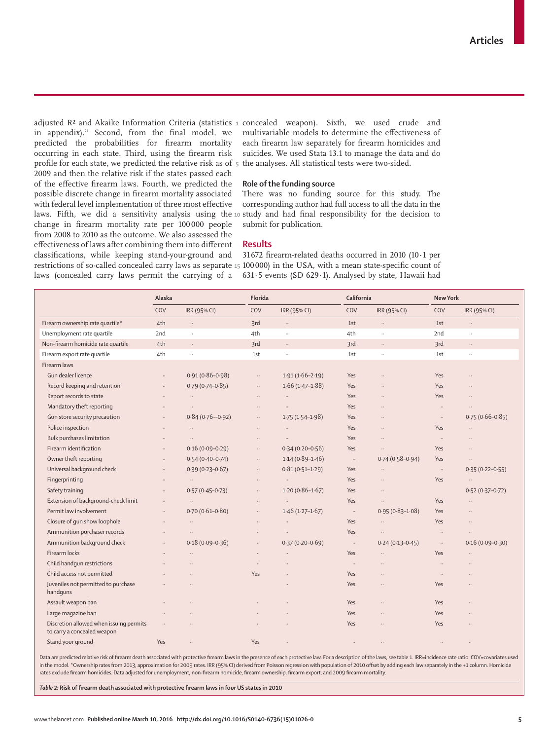**5** profile for each state, we predicted the relative risk as of the analyses. All statistical tests were two-sided. in appendix).<sup>21</sup> Second, from the final model, we predicted the probabilities for firearm mortality occurring in each state. Third, using the firearm risk 2009 and then the relative risk if the states passed each of the effective firearm laws. Fourth, we predicted the possible discrete change in firearm mortality associated with federal level implementation of three most effective change in firearm mortality rate per 100 000 people from 2008 to 2010 as the outcome. We also assessed the effectiveness of laws after combining them into different classifications, while keeping stand-your-ground and

adjusted R<sup>2</sup> and Akaike Information Criteria (statistics 1 concealed weapon). Sixth, we used crude and multivariable models to determine the effectiveness of each firearm law separately for firearm homicides and suicides. We used Stata 13.1 to manage the data and do

## **Role of the funding source**

laws. Fifth, we did a sensitivity analysis using the 10 study and had final responsibility for the decision to There was no funding source for this study. The corresponding author had full access to all the data in the submit for publication.

#### **Results**

**15** restrictions of so-called concealed carry laws as separate 100 000) in the USA, with a mean state-specific count of laws (concealed carry laws permit the carrying of a 631·5 events (SD 629·1). Analysed by state, Hawaii had 31 672 firearm-related deaths occurred in 2010 (10·1 per

|                                                                        | Alaska               | Florida              |                      |                      | California |                      | <b>New York</b>      |                      |
|------------------------------------------------------------------------|----------------------|----------------------|----------------------|----------------------|------------|----------------------|----------------------|----------------------|
|                                                                        | COV                  | IRR (95% CI)         | COV                  | IRR (95% CI)         | COV        | IRR (95% CI)         | COV                  | IRR (95% CI)         |
| Firearm ownership rate quartile*                                       | 4th                  | $\ddots$             | 3rd                  | $\ldots$             | 1st        | $\ldots$             | 1st                  | $\ldots$             |
| Unemployment rate quartile                                             | 2nd                  | $\ddot{\phantom{a}}$ | 4th                  | $\ldots$             | 4th        | ä,                   | 2nd                  | $\ddotsc$            |
| Non-firearm homicide rate quartile                                     | 4th                  | $\ddotsc$            | 3rd                  | $\ldots$             | 3rd        | $\ddotsc$            | 3rd                  | $\ldots$             |
| Firearm export rate quartile                                           | 4th                  | $\ddot{\phantom{a}}$ | 1st                  | $\ldots$             | 1st        |                      | 1st                  | $\ldots$             |
| Firearm laws                                                           |                      |                      |                      |                      |            |                      |                      |                      |
| Gun dealer licence                                                     | $\ldots$             | $0.91(0.86 - 0.98)$  | $\ldots$             | $1.91(1.66 - 2.19)$  | Yes        | $\ddotsc$            | Yes                  | $\ddotsc$            |
| Record keeping and retention                                           | $\ddotsc$            | $0.79(0.74 - 0.85)$  | $\ldots$             | $1.66(1.47-1.88)$    | Yes        |                      | Yes                  |                      |
| Report records to state                                                |                      |                      | $\ddotsc$            | $\ddotsc$            | Yes        |                      | Yes                  |                      |
| Mandatory theft reporting                                              | $\ddotsc$            |                      | $\ddotsc$            | $\ddotsc$            | Yes        | $\ddot{\phantom{a}}$ | $\ldots$             |                      |
| Gun store security precaution                                          | $\ddotsc$            | $0.84(0.76 - 0.92)$  | $\ldots$             | $1.75(1.54-1.98)$    | Yes        | $\ddot{\phantom{a}}$ | $\ddotsc$            | $0.75(0.66 - 0.85)$  |
| Police inspection                                                      | $\ddot{\phantom{a}}$ |                      | $\ddotsc$            | $\ddotsc$            | Yes        |                      | Yes                  | $\ddotsc$            |
| <b>Bulk purchases limitation</b>                                       | $\ddotsc$            |                      | $\ddotsc$            |                      | Yes        |                      | $\ldots$             |                      |
| Firearm identification                                                 | $\ddotsc$            | $0.16(0.09 - 0.29)$  | $\ldots$             | $0.34(0.20 - 0.56)$  | Yes        |                      | Yes                  |                      |
| Owner theft reporting                                                  |                      | $0.54(0.40-0.74)$    | $\ddotsc$            | $1.14(0.89 - 1.46)$  | $\ldots$   | $0.74(0.58 - 0.94)$  | Yes                  | $\ddotsc$            |
| Universal background check                                             | $\ddotsc$            | $0.39(0.23 - 0.67)$  | $\ldots$             | $0.81(0.51 - 1.29)$  | Yes        | $\ddotsc$            | $\ldots$             | $0.35(0.22 - 0.55)$  |
| Fingerprinting                                                         | $\ddotsc$            |                      | $\ddotsc$            | $\ddotsc$            | Yes        |                      | Yes                  |                      |
| Safety training                                                        | $\ldots$             | $0.57(0.45 - 0.73)$  | $\ddotsc$            | $1.20(0.86 - 1.67)$  | Yes        | $\ddot{\phantom{a}}$ |                      | $0.52(0.37 - 0.72)$  |
| Extension of background-check limit                                    | $\ldots$             |                      | $\ddotsc$            | $\ddotsc$            | Yes        |                      | Yes                  | $\ddot{\phantom{a}}$ |
| Permit law involvement                                                 | $\ldots$             | $0.70(0.61 - 0.80)$  | $\ddotsc$            | $1.46(1.27-1.67)$    | $\ldots$   | $0.95(0.83 - 1.08)$  | Yes                  |                      |
| Closure of gun show loophole                                           | $\ddotsc$            |                      | $\ddotsc$            | $\ddotsc$            | Yes        | $\ddotsc$            | Yes                  |                      |
| Ammunition purchaser records                                           | $\ddotsc$            |                      |                      |                      | Yes        |                      | $\ddotsc$            |                      |
| Ammunition background check                                            | $\ddotsc$            | $0.18(0.09 - 0.36)$  | $\ddotsc$            | $0.37(0.20 - 0.69)$  | $\ldots$   | $0.24(0.13 - 0.45)$  | $\ldots$             | $0.16(0.09 - 0.30)$  |
| Firearm locks                                                          | $\ddot{\phantom{a}}$ |                      | $\ddotsc$            | $\ddotsc$            | Yes        | $\ddot{\phantom{a}}$ | Yes                  |                      |
| Child handgun restrictions                                             | $\ddot{\phantom{a}}$ |                      | $\ddot{\phantom{a}}$ | $\ddot{\phantom{a}}$ | $\ddotsc$  |                      | $\ddot{\phantom{a}}$ |                      |
| Child access not permitted                                             | $\ddot{\phantom{a}}$ |                      | Yes                  | $\ddotsc$            | Yes        | $\ddotsc$            | $\ddotsc$            | $\ddot{\phantom{a}}$ |
| Juveniles not permitted to purchase<br>handguns                        |                      |                      |                      | $\ddotsc$            | Yes        |                      | Yes                  | $\ddot{\phantom{a}}$ |
| Assault weapon ban                                                     |                      |                      |                      | $\ddot{\phantom{a}}$ | Yes        |                      | Yes                  |                      |
| Large magazine ban                                                     |                      |                      |                      | $\ddot{\phantom{a}}$ | Yes        |                      | Yes                  |                      |
| Discretion allowed when issuing permits<br>to carry a concealed weapon | $\ldots$             |                      |                      |                      | Yes        |                      | Yes                  |                      |
| Stand your ground                                                      | Yes                  |                      | Yes                  | $\ddotsc$            |            |                      |                      |                      |

**55** rates exclude firearm homicides. Data adjusted for unemployment, non-firearm homicide, firearm ownership, firearm export, and 2009 firearm mortality. Data are predicted relative risk of firearm death associated with protective firearm laws in the presence of each protective law. For a description of the laws, see table 1. IRR=incidence rate ratio. COV=covariates used in the model. \*Ownership rates from 2013, approximation for 2009 rates. IRR (95% CI) derived from Poisson regression with population of 2010 offset by adding each law separately in the +1 column. Homicide

*Table 2:* **Risk of firearm death associated with protective firearm laws in four US states in 2010**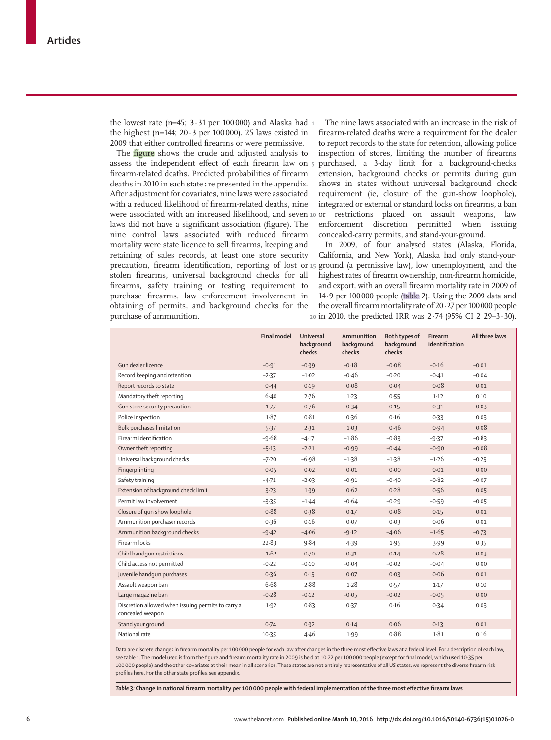**1** the lowest rate (n=45; 3·31 per 100 000) and Alaska had the highest (n=144;  $20.3$  per 100000). 25 laws existed in 2009 that either controlled firearms or were permissive.

**5** assess the independent effect of each firearm law on precaution, firearm identification, reporting of lost or 15 ground (a permissive law), low unemployment, and the The *figure* shows the crude and adjusted analysis to firearm-related deaths. Predicted probabilities of firearm deaths in 2010 in each state are presented in the appendix. After adjustment for covariates, nine laws were associated with a reduced likelihood of firearm-related deaths, nine laws did not have a significant association (figure). The nine control laws associated with reduced firearm mortality were state licence to sell firearms, keeping and retaining of sales records, at least one store security stolen firearms, universal background checks for all firearms, safety training or testing requirement to purchase firearms, law enforcement involvement in obtaining of permits, and background checks for the purchase of ammunition.

were associated with an increased likelihood, and seven 10 or restrictions placed on assault weapons, law The nine laws associated with an increase in the risk of firearm-related deaths were a requirement for the dealer to report records to the state for retention, allowing police inspection of stores, limiting the number of firearms purchased, a 3-day limit for a background-checks extension, background checks or permits during gun shows in states without universal background check requirement (ie, closure of the gun-show loophole), integrated or external or standard locks on firearms, a ban enforcement discretion permitted when issuing concealed-carry permits, and stand-your-ground.

> **20** in 2010, the predicted IRR was 2·74 (95% CI 2·29–3·30). In 2009, of four analysed states (Alaska, Florida, California, and New York), Alaska had only stand-yourhighest rates of firearm ownership, non-firearm homicide, and export, with an overall firearm mortality rate in 2009 of 14·9 per 100000 people (table 2). Using the 2009 data and the overall firearm mortality rate of 20·27 per 100000 people

|                                                                        | <b>Final model</b> | Universal<br>background<br>checks | Ammunition<br>background<br>checks | Both types of<br>background<br>checks | Firearm<br>identification | All three laws |
|------------------------------------------------------------------------|--------------------|-----------------------------------|------------------------------------|---------------------------------------|---------------------------|----------------|
| Gun dealer licence                                                     | $-0.91$            | $-0.39$                           | $-0.18$                            | $-0.08$                               | $-0.16$                   | $-0.01$        |
| Record keeping and retention                                           | $-2.37$            | $-1.02$                           | $-0.46$                            | $-0.20$                               | $-0.41$                   | $-0.04$        |
| Report records to state                                                | 0.44               | 0.19                              | 0.08                               | 0.04                                  | 0.08                      | 0.01           |
| Mandatory theft reporting                                              | 6.40               | 2.76                              | 1.23                               | 0.55                                  | 1.12                      | 0.10           |
| Gun store security precaution                                          | $-1.77$            | $-0.76$                           | $-0.34$                            | $-0.15$                               | $-0.31$                   | $-0.03$        |
| Police inspection                                                      | 1.87               | 0.81                              | 0.36                               | 0.16                                  | 0.33                      | 0.03           |
| <b>Bulk purchases limitation</b>                                       | 5.37               | 2.31                              | 1.03                               | 0.46                                  | 0.94                      | 0.08           |
| Firearm identification                                                 | $-9.68$            | $-4.17$                           | $-1.86$                            | $-0.83$                               | $-9.37$                   | $-0.83$        |
| Owner theft reporting                                                  | $-5.13$            | $-2.21$                           | $-0.99$                            | $-0.44$                               | $-0.90$                   | $-0.08$        |
| Universal background checks                                            | $-7.20$            | $-6.98$                           | $-1.38$                            | $-1.38$                               | $-1.26$                   | $-0.25$        |
| Fingerprinting                                                         | 0.05               | 0.02                              | 0.01                               | 0.00                                  | 0.01                      | 0.00           |
| Safety training                                                        | $-4.71$            | $-2.03$                           | $-0.91$                            | $-0.40$                               | $-0.82$                   | $-0.07$        |
| Extension of background check limit                                    | 3.23               | 1.39                              | 0.62                               | 0.28                                  | 0.56                      | 0.05           |
| Permit law involvement                                                 | $-3.35$            | $-1.44$                           | $-0.64$                            | $-0.29$                               | $-0.59$                   | $-0.05$        |
| Closure of gun show loophole                                           | 0.88               | 0.38                              | 0.17                               | 0.08                                  | 0.15                      | 0.01           |
| Ammunition purchaser records                                           | 0.36               | 0.16                              | 0.07                               | 0.03                                  | 0.06                      | 0.01           |
| Ammunition background checks                                           | $-9.42$            | $-4.06$                           | $-9.12$                            | $-4.06$                               | $-1.65$                   | $-0.73$        |
| Firearm locks                                                          | 22.83              | 9.84                              | 4.39                               | 1.95                                  | 3.99                      | 0.35           |
| Child handqun restrictions                                             | 1.62               | 0.70                              | 0.31                               | 0.14                                  | 0.28                      | 0.03           |
| Child access not permitted                                             | $-0.22$            | $-0.10$                           | $-0.04$                            | $-0.02$                               | $-0.04$                   | 0.00           |
| Juvenile handqun purchases                                             | 0.36               | 0.15                              | 0.07                               | 0.03                                  | 0.06                      | 0.01           |
| Assault weapon ban                                                     | 6.68               | 2.88                              | 1.28                               | 0.57                                  | 1.17                      | 0.10           |
| Large magazine ban                                                     | $-0.28$            | $-0.12$                           | $-0.05$                            | $-0.02$                               | $-0.05$                   | 0.00           |
| Discretion allowed when issuing permits to carry a<br>concealed weapon | 1.92               | 0.83                              | 0.37                               | 0.16                                  | 0.34                      | 0.03           |
| Stand your ground                                                      | 0.74               | 0.32                              | 0.14                               | 0.06                                  | 0.13                      | 0.01           |
| National rate                                                          | $10-35$            | 4.46                              | 1.99                               | 0.88                                  | 1.81                      | 0.16           |

Data are discrete changes in firearm mortality per 100000 people for each law after changes in the three most effective laws at a federal level. For a description of each law, see table 1. The model used is from the figure and firearm mortality rate in 2009 is held at 10·22 per 100000 people (except for final model, which used 10·35 per 100000 people) and the other covariates at their mean in all scenarios. These states are not entirely representative of all US states; we represent the diverse firearm risk profiles here. For the other state profiles, see appendix.

*Table 3:* **Change in national firearm mortality per 100000 people with federal implementation of the three most effective firearm laws**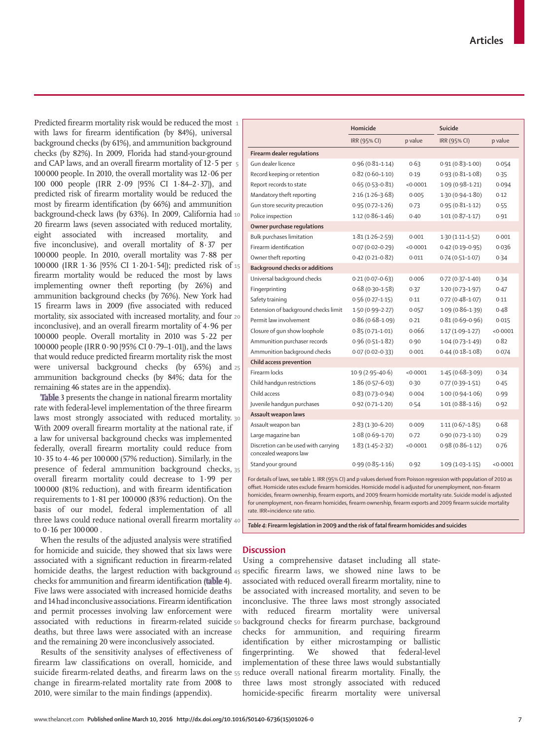www.thelancet.com**Published online March 10, 2016 http://dx.doi.org/10.1016/S0140-6736(15)01026-0 7**

**1** Predicted firearm mortality risk would be reduced the most **5** and CAP laws, and an overall firearm mortality of 12·5 per **10** background-check laws (by 63%). In 2009, California had **15** 100000 (IRR 1·36 [95% CI 1·20-1·54]); predicted risk of **mortality, six associated with increased mortality, and four** 20 **25** were universal background checks (by 65%) and with laws for firearm identification (by 84%), universal background checks (by 61%), and ammunition background checks (by 82%). In 2009, Florida had stand-your-ground 100000 people. In 2010, the overall mortality was  $12 \cdot 06$  per 100 000 people (IRR 2·09 [95% CI 1·84–2·37]), and predicted risk of firearm mortality would be reduced the most by firearm identification (by 66%) and ammunition 20 firearm laws (seven associated with reduced mortality, eight associated with increased mortality, and five inconclusive), and overall mortality of 8·37 per 100000 people. In 2010, overall mortality was 7·88 per firearm mortality would be reduced the most by laws implementing owner theft reporting (by 26%) and ammunition background checks (by 76%). New York had 15 firearm laws in 2009 (five associated with reduced inconclusive), and an overall firearm mortality of 4·96 per 100000 people. Overall mortality in 2010 was 5·22 per 100000 people (IRR 0·90 [95% CI 0·79–1·01]), and the laws that would reduce predicted firearm mortality risk the most ammunition background checks (by 84%; data for the remaining 46 states are in the appendix).

laws most strongly associated with reduced mortality.30 presence of federal ammunition background checks, 35 **40** three laws could reduce national overall firearm mortality Table 3 presents the change in national firearm mortality rate with federal-level implementation of the three firearm With 2009 overall firearm mortality at the national rate, if a law for universal background checks was implemented federally, overall firearm mortality could reduce from 10·35 to 4·46 per 100000 (57% reduction). Similarly, in the overall firearm mortality could decrease to 1·99 per 100000 (81% reduction), and with firearm identification requirements to 1·81 per 100000 (83% reduction). On the basis of our model, federal implementation of all to  $0.16$  per  $100000$ .

**45** homicide deaths, the largest reduction with background associated with reductions in firearm-related suicide 50 When the results of the adjusted analysis were stratified for homicide and suicide, they showed that six laws were associated with a significant reduction in firearm-related checks for ammunition and firearm identification (table 4). Five laws were associated with increased homicide deaths and 14 had inconclusive associations. Firearm identification and permit processes involving law enforcement were deaths, but three laws were associated with an increase and the remaining 20 were inconclusively associated.

**55** suicide firearm-related deaths, and firearm laws on the Results of the sensitivity analyses of effectiveness of firearm law classifications on overall, homicide, and change in firearm-related mortality rate from 2008 to 2010, were similar to the main findings (appendix).

|                                                               | Homicide            |          | Suicide             |          |  |
|---------------------------------------------------------------|---------------------|----------|---------------------|----------|--|
|                                                               | IRR (95% CI)        | p value  | IRR (95% CI)        | p value  |  |
| Firearm dealer regulations                                    |                     |          |                     |          |  |
| Gun dealer licence                                            | $0.96(0.81 - 1.14)$ | 0.63     | $0.91(0.83 - 1.00)$ | 0.054    |  |
| Record keeping or retention                                   | $0.82(0.60 - 1.10)$ | 0.19     | $0.93(0.81 - 1.08)$ | 0.35     |  |
| Report records to state                                       | $0.65(0.53 - 0.81)$ | < 0.0001 | $1.09(0.98-1.21)$   | 0.094    |  |
| Mandatory theft reporting                                     | $2.16(1.26-3.68)$   | 0.005    | $1.30(0.94 - 1.80)$ | 0.12     |  |
| Gun store security precaution                                 | $0.95(0.72 - 1.26)$ | 0.73     | $0.95(0.81 - 1.12)$ | 0.55     |  |
| Police inspection                                             | $1.12(0.86 - 1.46)$ | 0.40     | $1.01(0.87 - 1.17)$ | 0.91     |  |
| Owner purchase regulations                                    |                     |          |                     |          |  |
| <b>Bulk purchases limitation</b>                              | $1.81(1.26 - 2.59)$ | 0.001    | $1.30(1.11 - 1.52)$ | 0.001    |  |
| Firearm identification                                        | $0.07(0.02 - 0.29)$ | < 0.0001 | $0.42(0.19 - 0.95)$ | 0.036    |  |
| Owner theft reporting                                         | $0.42(0.21 - 0.82)$ | 0.011    | $0.74(0.51 - 1.07)$ | 0.34     |  |
| <b>Background checks or additions</b>                         |                     |          |                     |          |  |
| Universal background checks                                   | $0.21(0.07 - 0.63)$ | 0.006    | $0.72(0.37 - 1.40)$ | 0.34     |  |
| Fingerprinting                                                | $0.68(0.30 - 1.58)$ | 0.37     | $1.20(0.73 - 1.97)$ | 0.47     |  |
| Safety training                                               | $0.56(0.27 - 1.15)$ | 0.11     | $0.72(0.48-1.07)$   | 0.11     |  |
| Extension of background checks limit                          | $1.50(0.99 - 2.27)$ | 0.057    | $1.09(0.86 - 1.39)$ | 0.48     |  |
| Permit law involvement                                        | $0.86(0.68-1.09)$   | 0.21     | $0.81(0.69 - 0.96)$ | 0.015    |  |
| Closure of gun show loophole                                  | $0.85(0.71 - 1.01)$ | 0.066    | $1.17(1.09 - 1.27)$ | < 0.0001 |  |
| Ammunition purchaser records                                  | $0.96(0.51 - 1.82)$ | 0.90     | $1.04(0.73 - 1.49)$ | 0.82     |  |
| Ammunition background checks                                  | $0.07(0.02 - 0.33)$ | 0.001    | $0.44(0.18 - 1.08)$ | 0.074    |  |
| Child access prevention                                       |                     |          |                     |          |  |
| Firearm locks                                                 | $10.9(2.95 - 40.6)$ | < 0.0001 | $1.45(0.68 - 3.09)$ | 0.34     |  |
| Child handgun restrictions                                    | $1.86(0.57-6.03)$   | 0.30     | $0.77(0.39 - 1.51)$ | 0.45     |  |
| Child access                                                  | $0.83(0.73 - 0.94)$ | 0.004    | $1.00(0.94-1.06)$   | 0.99     |  |
| Juvenile handqun purchases                                    | $0.92(0.71 - 1.20)$ | 0.54     | $1.01(0.88 - 1.16)$ | 0.92     |  |
| Assault weapon laws                                           |                     |          |                     |          |  |
| Assault weapon ban                                            | $2.83(1.30-6.20)$   | 0.009    | $1.11(0.67 - 1.85)$ | 0.68     |  |
| Large magazine ban                                            | $1.08(0.69-1.70)$   | 0.72     | $0.90(0.73 - 1.10)$ | 0.29     |  |
| Discretion can be used with carrying<br>concealed weapons law | $1.83(1.45 - 2.32)$ | < 0.0001 | $0.98(0.86 - 1.12)$ | 0.76     |  |
| Stand your ground                                             | $0.99(0.85 - 1.16)$ | 0.92     | $1.09(1.03 - 1.15)$ | < 0.0001 |  |

For details of laws, see table 1. IRR (95% CI) and p values derived from Poisson regression with population of 2010 as offset. Homicide rates exclude firearm homicides. Homicide model is adjusted for unemployment, non-firearm homicides, firearm ownership, firearm exports, and 2009 firearm homicide mortality rate. Suicide model is adjusted for unemployment, non-firearm homicides, firearm ownership, firearm exports and 2009 firearm suicide mortality rate. IRR=incidence rate ratio.

*Table 4***: Firearm legislation in 2009 and the risk of fatal firearm homicides and suicides**

#### **Discussion**

Using a comprehensive dataset including all statespecific firearm laws, we showed nine laws to be associated with reduced overall firearm mortality, nine to be associated with increased mortality, and seven to be inconclusive. The three laws most strongly associated with reduced firearm mortality were universal background checks for firearm purchase, background checks for ammunition, and requiring firearm identification by either microstamping or ballistic fingerprinting. We showed that federal-level implementation of these three laws would substantially reduce overall national firearm mortality. Finally, the three laws most strongly associated with reduced homicide-specific firearm mortality were universal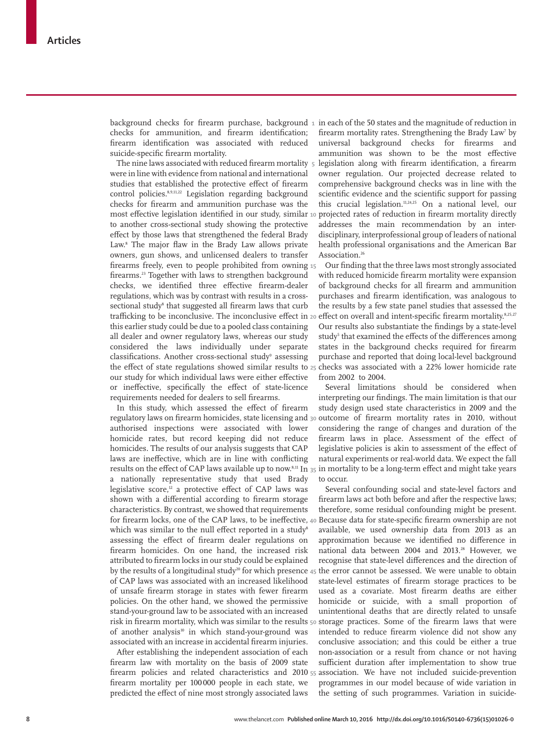checks for ammunition, and firearm identification; firearm identification was associated with reduced suicide-specific firearm mortality.

**5** The nine laws associated with reduced firearm mortality **15** firearms freely, even to people prohibited from owning trafficking to be inconclusive. The inconclusive effect in 20 effect on overall and intent-specific firearm mortality.<sup>8,35,2</sup> were in line with evidence from national and international studies that established the protective effect of firearm control policies.<sup>8,9,11,22</sup> Legislation regarding background checks for firearm and ammunition purchase was the to another cross-sectional study showing the protective effect by those laws that strengthened the federal Brady Law.8 The major flaw in the Brady Law allows private owners, gun shows, and unlicensed dealers to transfer firearms.23 Together with laws to strengthen background checks, we identified three effective firearm-dealer regulations, which was by contrast with results in a crosssectional study<sup>s</sup> that suggested all firearm laws that curb this earlier study could be due to a pooled class containing all dealer and owner regulatory laws, whereas our study considered the laws individually under separate classifications. Another cross-sectional study<sup>9</sup> assessing our study for which individual laws were either effective or ineffective, specifically the effect of state-licence requirements needed for dealers to sell firearms.

In this study, which assessed the effect of firearm authorised inspections were associated with lower homicide rates, but record keeping did not reduce homicides. The results of our analysis suggests that CAP laws are ineffective, which are in line with conflicting a nationally representative study that used Brady legislative score,<sup>12</sup> a protective effect of CAP laws was shown with a differential according to firearm storage characteristics. By contrast, we showed that requirements which was similar to the null effect reported in a study<sup>8</sup> assessing the effect of firearm dealer regulations on firearm homicides. On one hand, the increased risk attributed to firearm locks in our study could be explained of CAP laws was associated with an increased likelihood of unsafe firearm storage in states with fewer firearm policies. On the other hand, we showed the permissive stand-your-ground law to be associated with an increased of another analysis<sup>10</sup> in which stand-your-ground was associated with an increase in accidental firearm injuries.

After establishing the independent association of each firearm law with mortality on the basis of 2009 state firearm mortality per 100000 people in each state, we predicted the effect of nine most strongly associated laws

background checks for firearm purchase, background 1 in each of the 50 states and the magnitude of reduction in **10** most effective legislation identified in our study, similar projected rates of reduction in firearm mortality directly firearm mortality rates. Strengthening the Brady Law<sup>7</sup> by universal background checks for firearms and ammunition was shown to be the most effective legislation along with firearm identification, a firearm owner regulation. Our projected decrease related to comprehensive background checks was in line with the scientific evidence and the scientific support for passing this crucial legislation.11,24,25 On a national level, our addresses the main recommendation by an interdisciplinary, interprofessional group of leaders of national health professional organisations and the American Bar Association.<sup>26</sup>

the effect of state regulations showed similar results to 25 checks was associated with a 22% lower homicide rate Our finding that the three laws most strongly associated with reduced homicide firearm mortality were expansion of background checks for all firearm and ammunition purchases and firearm identification, was analogous to the results by a few state panel studies that assessed the Our results also substantiate the findings by a state-level study<sup>5</sup> that examined the effects of the differences among states in the background checks required for firearm purchase and reported that doing local-level background from 2002 to 2004.

regulatory laws on firearm homicides, state licensing and 30 outcome of firearm mortality rates in 2010, without results on the effect of CAP laws available up to now.<sup>8,11</sup> In 35 in mortality to be a long-term effect and might take years Several limitations should be considered when interpreting our findings. The main limitation is that our study design used state characteristics in 2009 and the considering the range of changes and duration of the firearm laws in place. Assessment of the effect of legislative policies is akin to assessment of the effect of natural experiments or real-world data. We expect the fall to occur.

**40** for firearm locks, one of the CAP laws, to be ineffective, Because data for state-specific firearm ownership are not by the results of a longitudinal study<sup>20</sup> for which presence 45 the error cannot be assessed. We were unable to obtain risk in firearm mortality, which was similar to the results 50 storage practices. Some of the firearm laws that were firearm policies and related characteristics and 2010  $_{55}$  association. We have not included suicide-prevention Several confounding social and state-level factors and firearm laws act both before and after the respective laws; therefore, some residual confounding might be present. available, we used ownership data from 2013 as an approximation because we identified no difference in national data between 2004 and 2013.<sup>28</sup> However, we recognise that state-level differences and the direction of state-level estimates of firearm storage practices to be used as a covariate. Most firearm deaths are either homicide or suicide, with a small proportion of unintentional deaths that are directly related to unsafe intended to reduce firearm violence did not show any conclusive association; and this could be either a true non-association or a result from chance or not having sufficient duration after implementation to show true programmes in our model because of wide variation in the setting of such programmes. Variation in suicide-